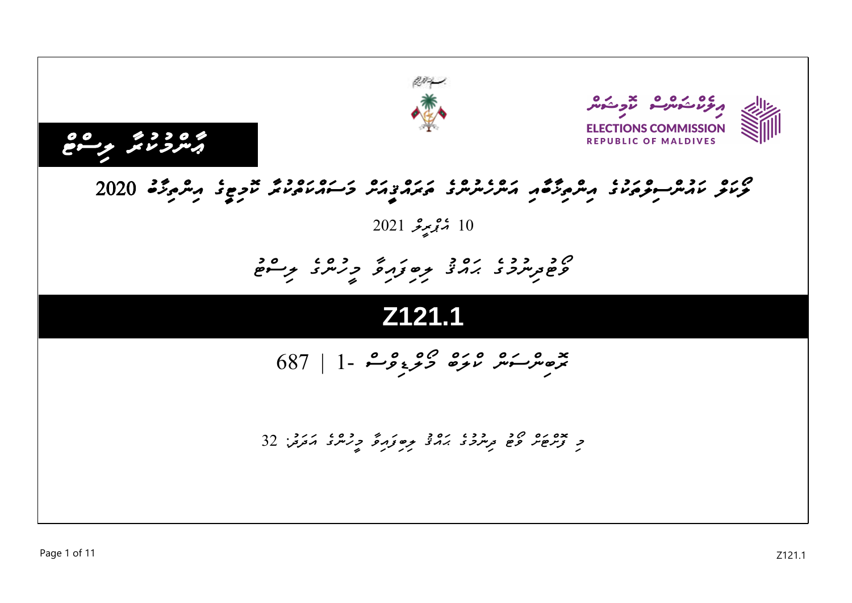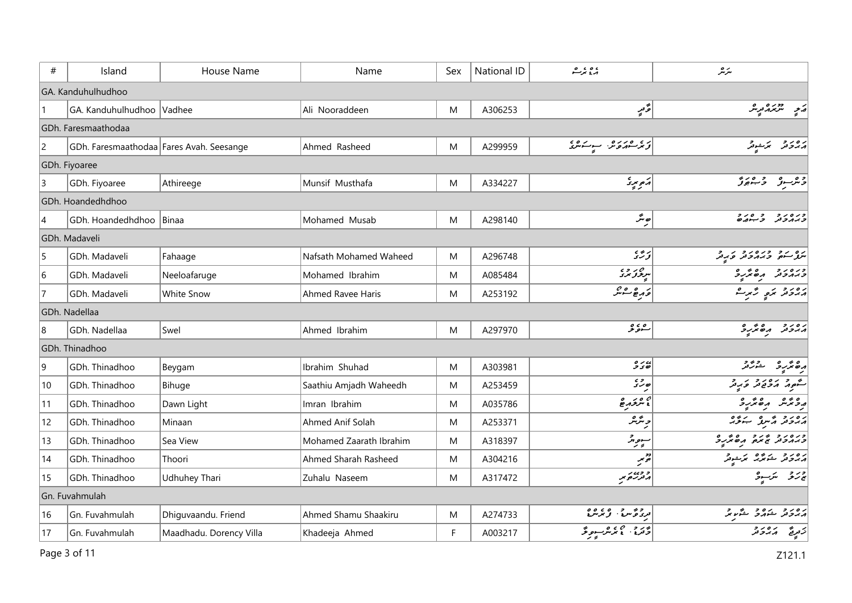| #             | Island                                   | House Name              | Name                    | Sex       | National ID | ، ه ، ره<br>د ، برگ                             | ىئرىتر                            |
|---------------|------------------------------------------|-------------------------|-------------------------|-----------|-------------|-------------------------------------------------|-----------------------------------|
|               | GA. Kanduhulhudhoo                       |                         |                         |           |             |                                                 |                                   |
|               | GA. Kanduhulhudhoo Vadhee                |                         | Ali Nooraddeen          | M         | A306253     | ر<br>حرمي                                       | پر په مربره مړيند                 |
|               | GDh. Faresmaathodaa                      |                         |                         |           |             |                                                 |                                   |
| $\mathcal{P}$ | GDh. Faresmaathodaa Fares Avah. Seesange |                         | Ahmed Rasheed           | M         | A299959     | ر ، ەررو. سوسىسمە                               | پرەرو بەيدۇر                      |
|               | GDh. Fiyoaree                            |                         |                         |           |             |                                                 |                                   |
| 3             | GDh. Fiyoaree                            | Athireege               | Munsif Musthafa         | M         | A334227     | لرَمو بيروُ                                     | وه و و و د و د                    |
|               | GDh. Hoandedhdhoo                        |                         |                         |           |             |                                                 |                                   |
| 14            | GDh. Hoandedhdhoo   Binaa                |                         | Mohamed Musab           | M         | A298140     | حویٹر                                           | 3,000 - 2,0,00<br>בגוגרט, כהיוגים |
|               | GDh. Madaveli                            |                         |                         |           |             |                                                 |                                   |
| 5             | GDh. Madaveli                            | Fahaage                 | Nafsath Mohamed Waheed  | M         | A296748     | ر و ،<br>قرری                                   | ره در دره در در                   |
| 6             | GDh. Madaveli                            | Neeloafaruge            | Mohamed Ibrahim         | M         | A085484     | لىر ئۈزۈرە<br>س <sub>ى</sub> پىرى ئىرى          |                                   |
| 7             | GDh. Madaveli                            | <b>White Snow</b>       | Ahmed Ravee Haris       | M         | A253192     | وروعشر                                          | ו 2010 באם המערבי                 |
|               | GDh. Nadellaa                            |                         |                         |           |             |                                                 |                                   |
| 8             | GDh. Nadellaa                            | Swel                    | Ahmed Ibrahim           | M         | A297970     | ه ، ه<br>سور نو                                 | رەرد مەئرىرى                      |
|               | GDh. Thinadhoo                           |                         |                         |           |             |                                                 |                                   |
| 9             | GDh. Thinadhoo                           | Beygam                  | Ibrahim Shuhad          | M         | A303981     | ں رہ<br>ص 5                                     | أرە ئۇرۇ ھەرىر                    |
| 10            | GDh. Thinadhoo                           | Bihuge                  | Saathiu Amjadh Waheedh  | M         | A253459     | ە رى<br>ھ                                       | ستمور رورو كرد                    |
| 11            | GDh. Thinadhoo                           | Dawn Light              | Imran Ibrahim           | M         | A035786     | بمشرخه وهج                                      | رومهر رومرد                       |
| 12            | GDh. Thinadhoo                           | Minaan                  | Ahmed Anif Solah        | M         | A253371     | دېگرىگر                                         | رەرد ئەرەب روە                    |
| 13            | GDh. Thinadhoo                           | Sea View                | Mohamed Zaarath Ibrahim | M         | A318397     | سوە<br>ئەر                                      | כנסנב הנב תסתנים                  |
| 14            | GDh. Thinadhoo                           | Thoori                  | Ahmed Sharah Rasheed    | M         | A304216     | دد<br>حوسر                                      | رەر دېگرى كرىشون                  |
| 15            | GDh. Thinadhoo                           | <b>Udhuhey Thari</b>    | Zuhalu Naseem           | ${\sf M}$ | A317472     | و ورے پر<br>در تعرب حر                          | ى ئەڭرى سىرسىزى                   |
|               | Gn. Fuvahmulah                           |                         |                         |           |             |                                                 |                                   |
| 16            | Gn. Fuvahmulah                           | Dhiguvaandu. Friend     | Ahmed Shamu Shaakiru    | ${\sf M}$ | A274733     | د د مهر د و ه و ه و ه<br>ترر تر سره . تر تر سره | رەرد شەرە شەرىر                   |
| 17            | Gn. Fuvahmulah                           | Maadhadu. Dorency Villa | Khadeeja Ahmed          | F         | A003217     | ل <sup>ى</sup> ئەرەب مۇسىر ئەرەتتى ئىسىر ئىسىر  | أرَمْرِيحٌ أَرَبُّ وَرَ وَ        |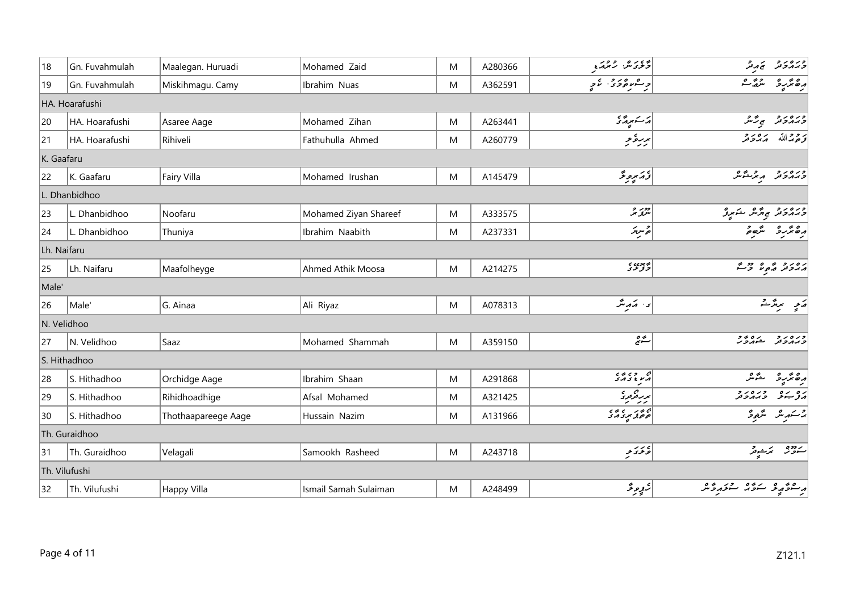| 18          | Gn. Fuvahmulah | Maalegan. Huruadi   | Mohamed Zaid             | M         | A280366 | ه ، ره و و در .<br>د محمد سر رسمه و                                                                                                                                                                                                                                                                                        | כנסנב בתב                                    |
|-------------|----------------|---------------------|--------------------------|-----------|---------|----------------------------------------------------------------------------------------------------------------------------------------------------------------------------------------------------------------------------------------------------------------------------------------------------------------------------|----------------------------------------------|
| 19          | Gn. Fuvahmulah | Miskihmagu. Camy    | Ibrahim Nuas             | M         | A362591 | وېشما د ده کې د                                                                                                                                                                                                                                                                                                            | سرویہ ہے<br>ە ھەترىر <sup>ە</sup>            |
|             | HA. Hoarafushi |                     |                          |           |         |                                                                                                                                                                                                                                                                                                                            |                                              |
| 20          | HA. Hoarafushi | Asaree Aage         | Mohamed Zihan            | M         | A263441 | ئەسە ئەير ئەي                                                                                                                                                                                                                                                                                                              | ورورو پر شهر                                 |
| 21          | HA. Hoarafushi | Rihiveli            | Fathuhulla Ahmed         | M         | A260779 | ىررى<br>رىرىم                                                                                                                                                                                                                                                                                                              | وحيحه الله مربر ور                           |
| K. Gaafaru  |                |                     |                          |           |         |                                                                                                                                                                                                                                                                                                                            |                                              |
| 22          | K. Gaafaru     | Fairy Villa         | Mohamed Irushan          | M         | A145479 | ڈرښمومڅر                                                                                                                                                                                                                                                                                                                   | ورەرو مەشھىر                                 |
|             | L. Dhanbidhoo  |                     |                          |           |         |                                                                                                                                                                                                                                                                                                                            |                                              |
| 23          | L. Dhanbidhoo  | Noofaru             | Mohamed Ziyan Shareef    | M         | A333575 | دور و<br>سرو بو                                                                                                                                                                                                                                                                                                            | وبروبرد بإرشر تحمير                          |
| 24          | L. Dhanbidhoo  | Thuniya             | Ibrahim Naabith          | M         | A237331 | قحرسرتر                                                                                                                                                                                                                                                                                                                    | رە ئرىر شەم                                  |
| Lh. Naifaru |                |                     |                          |           |         |                                                                                                                                                                                                                                                                                                                            |                                              |
| 25          | Lh. Naifaru    | Maafolheyge         | <b>Ahmed Athik Moosa</b> | M         | A214275 | په پور، د<br>ترکو ترک                                                                                                                                                                                                                                                                                                      | ره رو و ه ه دو و.<br>م.رونر م <i>ه و ب</i>   |
| Male'       |                |                     |                          |           |         |                                                                                                                                                                                                                                                                                                                            |                                              |
| 26          | Male'          | G. Ainaa            | Ali Riyaz                | M         | A078313 | ى بە ئەرىتى                                                                                                                                                                                                                                                                                                                | أرشع بروثر في                                |
|             | N. Velidhoo    |                     |                          |           |         |                                                                                                                                                                                                                                                                                                                            |                                              |
| 27          | N. Velidhoo    | Saaz                | Mohamed Shammah          | M         | A359150 | سَّمَح                                                                                                                                                                                                                                                                                                                     | ورەرو دەپرو<br><i>دىد</i> رونر شەر <i>ور</i> |
|             | S. Hithadhoo   |                     |                          |           |         |                                                                                                                                                                                                                                                                                                                            |                                              |
| 28          | S. Hithadhoo   | Orchidge Aage       | Ibrahim Shaan            | ${\sf M}$ | A291868 | $\begin{bmatrix} 1 & 1 & 1 & 1 & 1 \\ 1 & 1 & 1 & 1 & 1 \\ 1 & 1 & 1 & 1 & 1 & 1 \\ 1 & 1 & 1 & 1 & 1 & 1 \\ 1 & 1 & 1 & 1 & 1 & 1 \\ 1 & 1 & 1 & 1 & 1 & 1 \\ 1 & 1 & 1 & 1 & 1 & 1 \\ 1 & 1 & 1 & 1 & 1 & 1 \\ 1 & 1 & 1 & 1 & 1 & 1 \\ 1 & 1 & 1 & 1 & 1 & 1 \\ 1 & 1 & 1 & 1 & 1 & 1 \\ 1 & 1 & 1 & 1 & 1 & 1 \\ 1 & $ | ە ئەرە ئەشر<br>رەمزىرە ئىشر                  |
| 29          | S. Hithadhoo   | Rihidhoadhige       | Afsal Mohamed            | M         | A321425 | برروگروری<br>برروگروری                                                                                                                                                                                                                                                                                                     | ره رو دره در                                 |
| 30          | S. Hithadhoo   | Thothaapareege Aage | Hussain Nazim            | M         | A131966 | ه د د د د د د د د                                                                                                                                                                                                                                                                                                          | جرحتمر شراء متزوجه                           |
|             | Th. Guraidhoo  |                     |                          |           |         |                                                                                                                                                                                                                                                                                                                            |                                              |
| 31          | Th. Guraidhoo  | Velagali            | Samookh Rasheed          | M         | A243718 | إة ترىج                                                                                                                                                                                                                                                                                                                    | سردوه برسور                                  |
|             | Th. Vilufushi  |                     |                          |           |         |                                                                                                                                                                                                                                                                                                                            |                                              |
| 32          | Th. Vilufushi  | Happy Villa         | Ismail Samah Sulaiman    | M         | A248499 | روپوځر                                                                                                                                                                                                                                                                                                                     | ر قۇمۇ سۇر قىزرۇم                            |
|             |                |                     |                          |           |         |                                                                                                                                                                                                                                                                                                                            |                                              |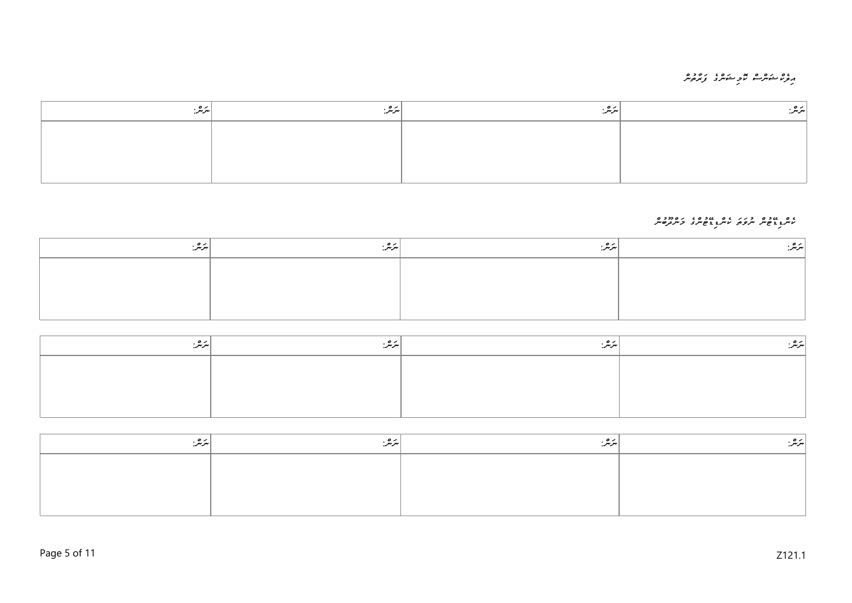## *w7qAn8m?sCw7mRo>u;wEw7mRw;sBo<*

| ' مرمر | 'يئرىثر: |
|--------|----------|
|        |          |
|        |          |
|        |          |

## w*99907 c99u 02 y990 c9000*<br>מית 29 gam=y*7gram*<br>ק

| بر ه | ىر مىر |  |
|------|--------|--|
|      |        |  |
|      |        |  |
|      |        |  |

| $\frac{2}{n}$ | $\overline{\phantom{a}}$ | اير هنه. | $\mathcal{O} \times$<br>سرسر |
|---------------|--------------------------|----------|------------------------------|
|               |                          |          |                              |
|               |                          |          |                              |
|               |                          |          |                              |

| ىرتىر: | 。<br>سر سر | .,<br>مرسر |
|--------|------------|------------|
|        |            |            |
|        |            |            |
|        |            |            |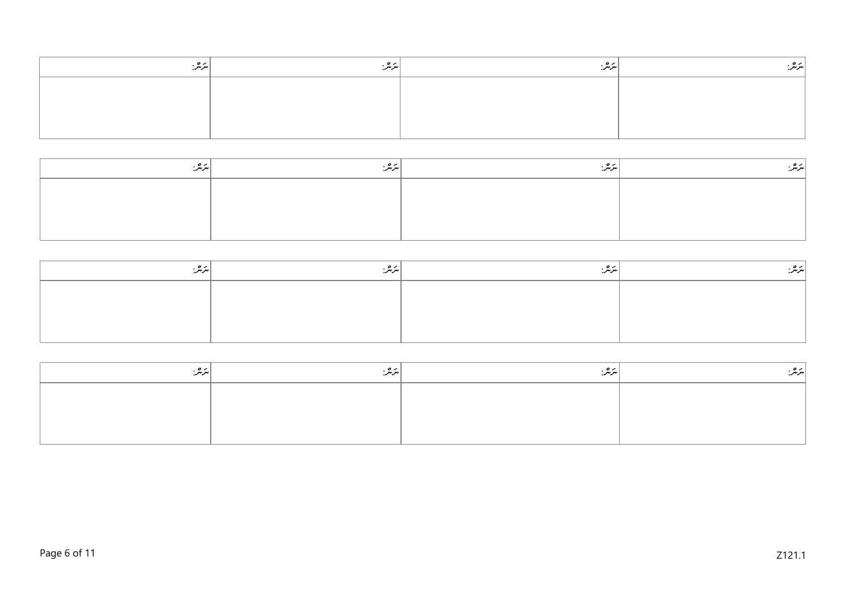| يره. | ο. | ا ير ه |  |
|------|----|--------|--|
|      |    |        |  |
|      |    |        |  |
|      |    |        |  |

| <sup>.</sup> سرسر. |  |
|--------------------|--|
|                    |  |
|                    |  |
|                    |  |

| ىئرىتر. | $\sim$ | ا بر هه. | لىرىش |
|---------|--------|----------|-------|
|         |        |          |       |
|         |        |          |       |
|         |        |          |       |

| يترمثر | $^{\circ}$ | ىر پىر |
|--------|------------|--------|
|        |            |        |
|        |            |        |
|        |            |        |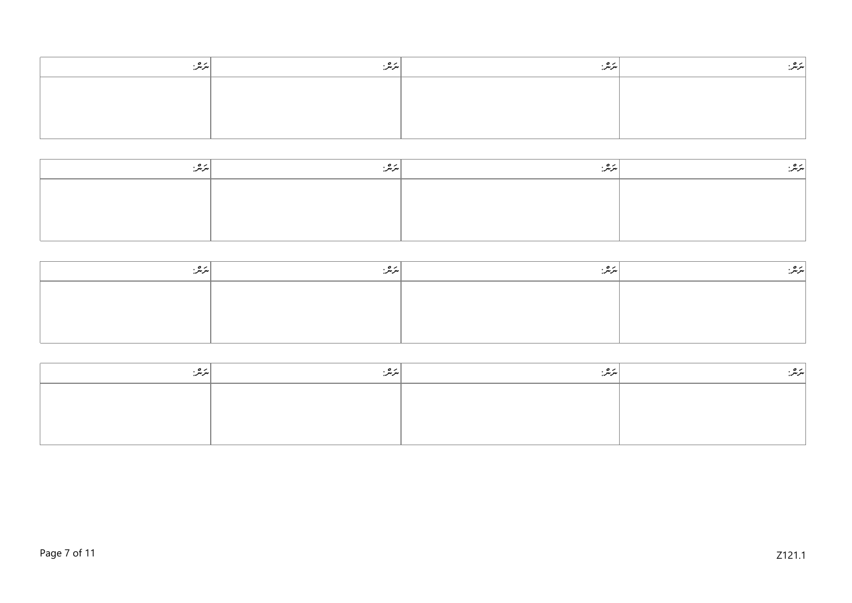| ير هو . | $\overline{\phantom{a}}$ | يرمر | اير هنه. |
|---------|--------------------------|------|----------|
|         |                          |      |          |
|         |                          |      |          |
|         |                          |      |          |

| ىر تىر: | $\circ$ $\sim$<br>" سرسر . | يترمير | o . |
|---------|----------------------------|--------|-----|
|         |                            |        |     |
|         |                            |        |     |
|         |                            |        |     |

| 'تترنثر: | 。<br>,,,, |  |
|----------|-----------|--|
|          |           |  |
|          |           |  |
|          |           |  |

| 。 |  |  |
|---|--|--|
|   |  |  |
|   |  |  |
|   |  |  |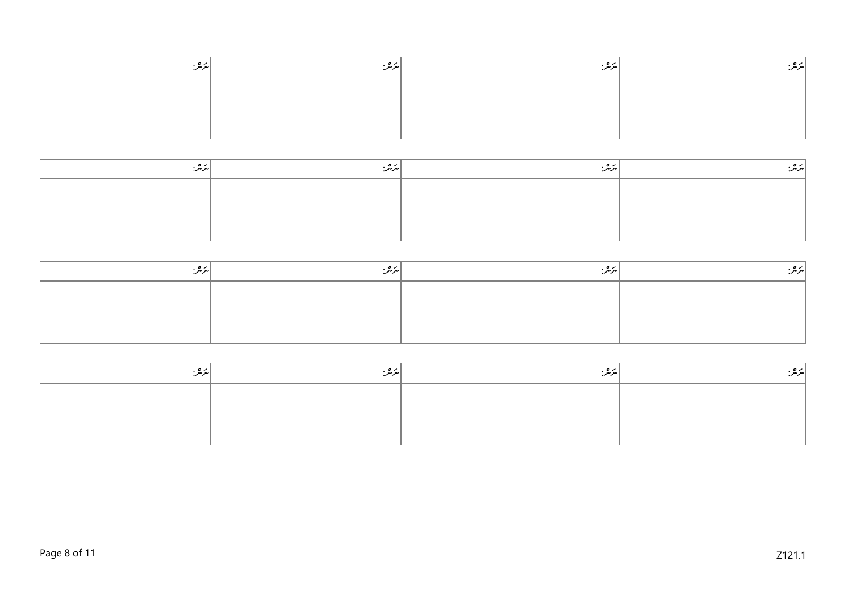| ير هو . | $\overline{\phantom{a}}$ | يرمر | اير هنه. |
|---------|--------------------------|------|----------|
|         |                          |      |          |
|         |                          |      |          |
|         |                          |      |          |

| ئىرتىر: | $\sim$<br>ا سرسر . | يئرمثر | o . |
|---------|--------------------|--------|-----|
|         |                    |        |     |
|         |                    |        |     |
|         |                    |        |     |

| انترنثر: | ر ه |  |
|----------|-----|--|
|          |     |  |
|          |     |  |
|          |     |  |

| $\overline{\phantom{a}}$<br>سرسر. |  |  |
|-----------------------------------|--|--|
|                                   |  |  |
|                                   |  |  |
|                                   |  |  |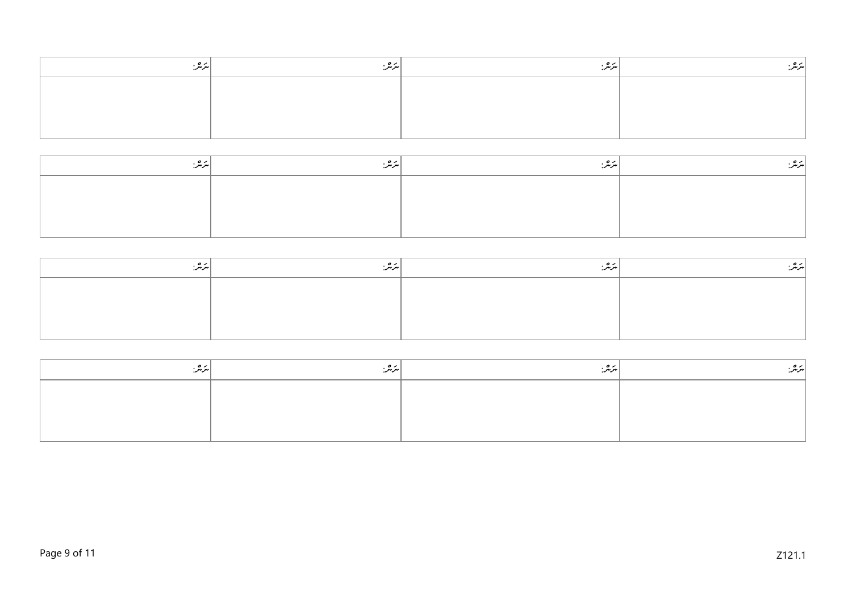| $\cdot$ | 。 | $\frac{\circ}{\cdot}$ | $\sim$<br>سرسر |
|---------|---|-----------------------|----------------|
|         |   |                       |                |
|         |   |                       |                |
|         |   |                       |                |

| يريثن | ' سرسر . |  |
|-------|----------|--|
|       |          |  |
|       |          |  |
|       |          |  |

| بر ه | 。 | $\overline{\phantom{0}}$<br>َ سومس. |  |
|------|---|-------------------------------------|--|
|      |   |                                     |  |
|      |   |                                     |  |
|      |   |                                     |  |

| 。<br>. س | ىرىىر |  |
|----------|-------|--|
|          |       |  |
|          |       |  |
|          |       |  |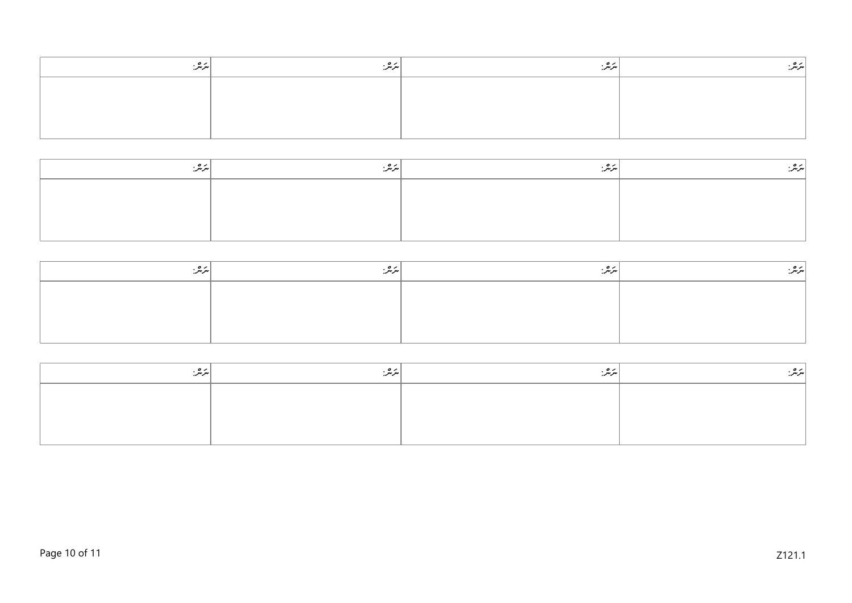| ير هو . | $\overline{\phantom{a}}$ | يرمر | اير هنه. |
|---------|--------------------------|------|----------|
|         |                          |      |          |
|         |                          |      |          |
|         |                          |      |          |

| ئىرتىر: | $\sim$<br>ا سرسر . | يئرمثر | o . |
|---------|--------------------|--------|-----|
|         |                    |        |     |
|         |                    |        |     |
|         |                    |        |     |

| كترنثر: | 。 | 。<br>سرسر. | o <i>~</i> |
|---------|---|------------|------------|
|         |   |            |            |
|         |   |            |            |
|         |   |            |            |

|  | . ه |
|--|-----|
|  |     |
|  |     |
|  |     |